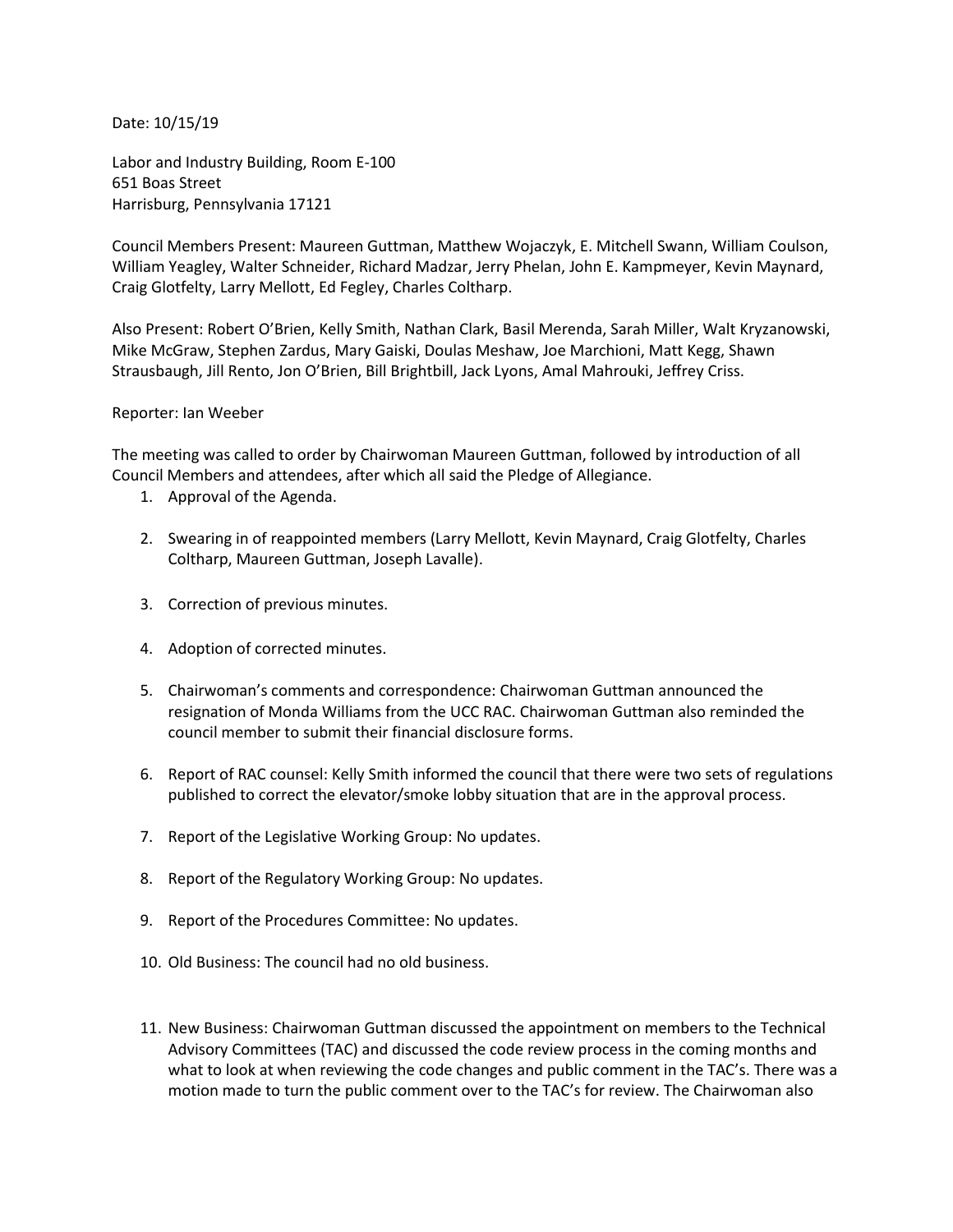Date: 10/15/19

Labor and Industry Building, Room E-100 651 Boas Street Harrisburg, Pennsylvania 17121

Council Members Present: Maureen Guttman, Matthew Wojaczyk, E. Mitchell Swann, William Coulson, William Yeagley, Walter Schneider, Richard Madzar, Jerry Phelan, John E. Kampmeyer, Kevin Maynard, Craig Glotfelty, Larry Mellott, Ed Fegley, Charles Coltharp.

Also Present: Robert O'Brien, Kelly Smith, Nathan Clark, Basil Merenda, Sarah Miller, Walt Kryzanowski, Mike McGraw, Stephen Zardus, Mary Gaiski, Doulas Meshaw, Joe Marchioni, Matt Kegg, Shawn Strausbaugh, Jill Rento, Jon O'Brien, Bill Brightbill, Jack Lyons, Amal Mahrouki, Jeffrey Criss.

## Reporter: Ian Weeber

The meeting was called to order by Chairwoman Maureen Guttman, followed by introduction of all Council Members and attendees, after which all said the Pledge of Allegiance.

- 1. Approval of the Agenda.
- 2. Swearing in of reappointed members (Larry Mellott, Kevin Maynard, Craig Glotfelty, Charles Coltharp, Maureen Guttman, Joseph Lavalle).
- 3. Correction of previous minutes.
- 4. Adoption of corrected minutes.
- 5. Chairwoman's comments and correspondence: Chairwoman Guttman announced the resignation of Monda Williams from the UCC RAC. Chairwoman Guttman also reminded the council member to submit their financial disclosure forms.
- 6. Report of RAC counsel: Kelly Smith informed the council that there were two sets of regulations published to correct the elevator/smoke lobby situation that are in the approval process.
- 7. Report of the Legislative Working Group: No updates.
- 8. Report of the Regulatory Working Group: No updates.
- 9. Report of the Procedures Committee: No updates.
- 10. Old Business: The council had no old business.
- 11. New Business: Chairwoman Guttman discussed the appointment on members to the Technical Advisory Committees (TAC) and discussed the code review process in the coming months and what to look at when reviewing the code changes and public comment in the TAC's. There was a motion made to turn the public comment over to the TAC's for review. The Chairwoman also